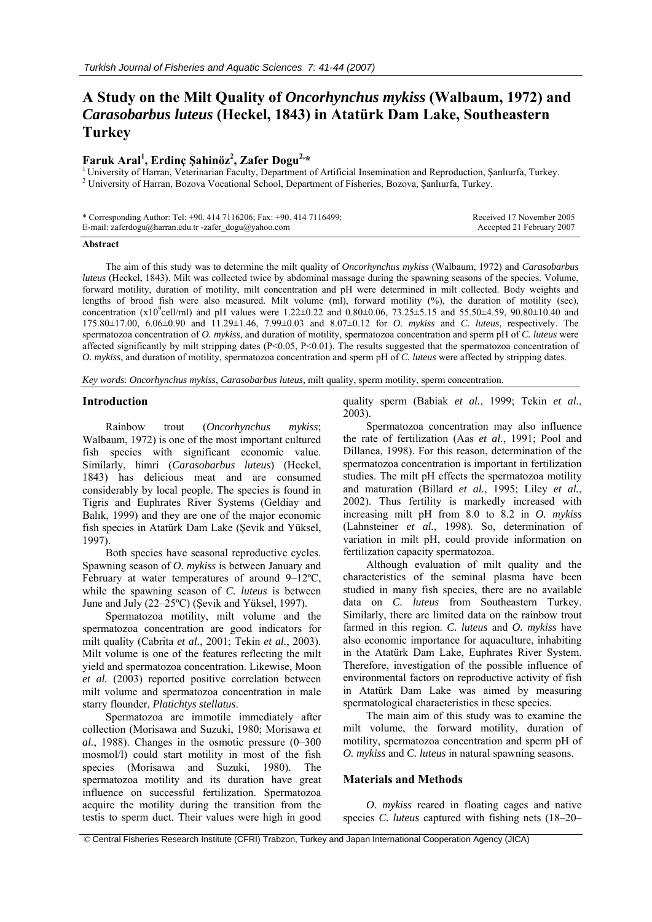# **A Study on the Milt Quality of** *Oncorhynchus mykiss* **(Walbaum, 1972) and**  *Carasobarbus luteus* **(Heckel, 1843) in Atatürk Dam Lake, Southeastern Turkey**

# **Faruk Aral1 , Erdinç Şahinöz2**

<sup>1</sup> University of Harran, Veterinarian Faculty, Department of Artificial Insemination and Reproduction, Sanlıurfa, Turkey. University of Harran, Bozova Vocational School, Department of Fisheries, Bozova, Şanlıurfa, Turkey.

| * Corresponding Author: Tel: +90. 414 7116206; Fax: +90. 414 7116499; | Received 17 November 2005 |
|-----------------------------------------------------------------------|---------------------------|
| E-mail: zaferdogu@harran.edu.tr -zafer dogu@yahoo.com                 | Accepted 21 February 2007 |

#### **Abstract**

The aim of this study was to determine the milt quality of *Oncorhynchus mykiss* (Walbaum, 1972) and *Carasobarbus luteus* (Heckel, 1843). Milt was collected twice by abdominal massage during the spawning seasons of the species. Volume, forward motility, duration of motility, milt concentration and pH were determined in milt collected. Body weights and lengths of brood fish were also measured. Milt volume (ml), forward motility (%), the duration of motility (sec), concentration (x10<sup>9</sup>cell/ml) and pH values were 1.22 $\pm$ 0.22 and 0.80 $\pm$ 0.06, 73.25 $\pm$ 5.15 and 55.50 $\pm$ 4.59, 90.80 $\pm$ 10.40 and 175.80±17.00, 6.06±0.90 and 11.29±1.46, 7.99±0.03 and 8.07±0.12 for *O. mykiss* and *C. luteus*, respectively. The spermatozoa concentration of *O. mykiss*, and duration of motility, spermatozoa concentration and sperm pH of *C. luteus* were affected significantly by milt stripping dates  $(P< 0.05, P< 0.01)$ . The results suggested that the spermatozoa concentration of *O. mykiss*, and duration of motility, spermatozoa concentration and sperm pH of *C. luteus* were affected by stripping dates.

*Key words*: *Oncorhynchus mykiss*, *Carasobarbus luteus,* milt quality, sperm motility, sperm concentration.

#### **Introduction**

Rainbow trout (*Oncorhynchus mykiss*; Walbaum, 1972) is one of the most important cultured fish species with significant economic value. Similarly, himri (*Carasobarbus luteus*) (Heckel, 1843) has delicious meat and are consumed considerably by local people. The species is found in Tigris and Euphrates River Systems (Geldiay and Balık, 1999) and they are one of the major economic fish species in Atatürk Dam Lake (Şevik and Yüksel, 1997).

Both species have seasonal reproductive cycles. Spawning season of *O. mykiss* is between January and February at water temperatures of around 9–12ºC, while the spawning season of *C. luteus* is between June and July (22–25ºC) (Şevik and Yüksel, 1997).

Spermatozoa motility, milt volume and the spermatozoa concentration are good indicators for milt quality (Cabrita *et al.*, 2001; Tekin *et al.*, 2003). Milt volume is one of the features reflecting the milt yield and spermatozoa concentration. Likewise, Moon *et al.* (2003) reported positive correlation between milt volume and spermatozoa concentration in male starry flounder, *Platichtys stellatus*.

Spermatozoa are immotile immediately after collection (Morisawa and Suzuki, 1980; Morisawa *et al.*, 1988). Changes in the osmotic pressure (0–300 mosmol/l) could start motility in most of the fish species (Morisawa and Suzuki, 1980). The spermatozoa motility and its duration have great influence on successful fertilization. Spermatozoa acquire the motility during the transition from the testis to sperm duct. Their values were high in good quality sperm (Babiak *et al.*, 1999; Tekin *et al.*, 2003).

Spermatozoa concentration may also influence the rate of fertilization (Aas *et al.*, 1991; Pool and Dillanea, 1998). For this reason, determination of the spermatozoa concentration is important in fertilization studies. The milt pH effects the spermatozoa motility and maturation (Billard *et al.*, 1995; Liley *et al.*, 2002). Thus fertility is markedly increased with increasing milt pH from 8.0 to 8.2 in *O. mykiss* (Lahnsteiner *et al.*, 1998). So, determination of variation in milt pH, could provide information on fertilization capacity spermatozoa.

Although evaluation of milt quality and the characteristics of the seminal plasma have been studied in many fish species, there are no available data on *C. luteus* from Southeastern Turkey. Similarly, there are limited data on the rainbow trout farmed in this region. *C. luteus* and *O. mykiss* have also economic importance for aquaculture, inhabiting in the Atatürk Dam Lake, Euphrates River System. Therefore, investigation of the possible influence of environmental factors on reproductive activity of fish in Atatürk Dam Lake was aimed by measuring spermatological characteristics in these species.

The main aim of this study was to examine the milt volume, the forward motility, duration of motility, spermatozoa concentration and sperm pH of *O. mykiss* and *C. luteus* in natural spawning seasons.

## **Materials and Methods**

*O. mykiss* reared in floating cages and native species *C. luteus* captured with fishing nets (18–20–

 <sup>©</sup> Central Fisheries Research Institute (CFRI) Trabzon, Turkey and Japan International Cooperation Agency (JICA)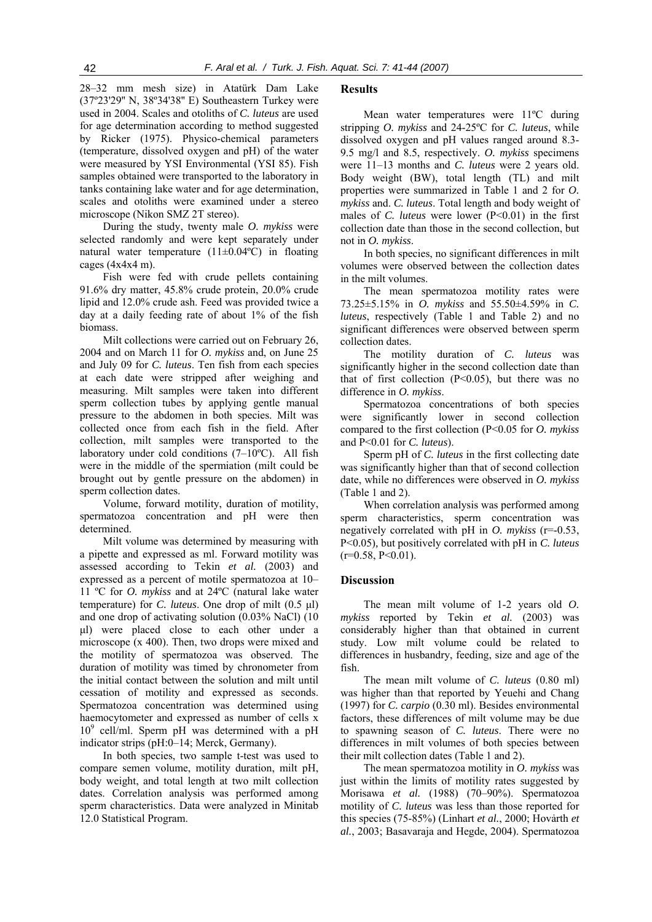28–32 mm mesh size) in Atatürk Dam Lake (37º23'29'' N, 38º34'38'' E) Southeastern Turkey were used in 2004. Scales and otoliths of *C. luteus* are used for age determination according to method suggested by Ricker (1975). Physico-chemical parameters (temperature, dissolved oxygen and pH) of the water were measured by YSI Environmental (YSI 85). Fish samples obtained were transported to the laboratory in tanks containing lake water and for age determination, scales and otoliths were examined under a stereo microscope (Nikon SMZ 2T stereo).

During the study, twenty male *O. mykiss* were selected randomly and were kept separately under natural water temperature  $(11\pm0.04\degree C)$  in floating cages (4x4x4 m).

Fish were fed with crude pellets containing 91.6% dry matter, 45.8% crude protein, 20.0% crude lipid and 12.0% crude ash. Feed was provided twice a day at a daily feeding rate of about 1% of the fish biomass.

Milt collections were carried out on February 26, 2004 and on March 11 for *O. mykiss* and, on June 25 and July 09 for *C. luteus*. Ten fish from each species at each date were stripped after weighing and measuring. Milt samples were taken into different sperm collection tubes by applying gentle manual pressure to the abdomen in both species. Milt was collected once from each fish in the field. After collection, milt samples were transported to the laboratory under cold conditions (7–10ºC). All fish were in the middle of the spermiation (milt could be brought out by gentle pressure on the abdomen) in sperm collection dates.

Volume, forward motility, duration of motility, spermatozoa concentration and pH were then determined.

Milt volume was determined by measuring with a pipette and expressed as ml. Forward motility was assessed according to Tekin *et al.* (2003) and expressed as a percent of motile spermatozoa at 10– 11 ºC for *O. mykiss* and at 24ºC (natural lake water temperature) for *C. luteus*. One drop of milt (0.5 μl) and one drop of activating solution (0.03% NaCl) (10 μl) were placed close to each other under a microscope (x 400). Then, two drops were mixed and the motility of spermatozoa was observed. The duration of motility was timed by chronometer from the initial contact between the solution and milt until cessation of motility and expressed as seconds. Spermatozoa concentration was determined using haemocytometer and expressed as number of cells x 10<sup>9</sup> cell/ml. Sperm pH was determined with a pH indicator strips (pH:0–14; Merck, Germany).

In both species, two sample t-test was used to compare semen volume, motility duration, milt pH, body weight, and total length at two milt collection dates. Correlation analysis was performed among sperm characteristics. Data were analyzed in Minitab 12.0 Statistical Program.

# **Results**

Mean water temperatures were 11ºC during stripping *O. mykiss* and 24-25ºC for *C. luteus*, while dissolved oxygen and pH values ranged around 8.3- 9.5 mg/l and 8.5, respectively. *O. mykiss* specimens were 11–13 months and *C. luteus* were 2 years old. Body weight (BW), total length (TL) and milt properties were summarized in Table 1 and 2 for *O. mykiss* and. *C. luteus*. Total length and body weight of males of *C. luteus* were lower (P<0.01) in the first collection date than those in the second collection, but not in *O. mykiss*.

In both species, no significant differences in milt volumes were observed between the collection dates in the milt volumes.

The mean spermatozoa motility rates were 73.25±5.15% in *O. mykiss* and 55.50±4.59% in *C. luteus*, respectively (Table 1 and Table 2) and no significant differences were observed between sperm collection dates.

The motility duration of *C. luteus* was significantly higher in the second collection date than that of first collection  $(P<0.05)$ , but there was no difference in *O. mykiss*.

Spermatozoa concentrations of both species were significantly lower in second collection compared to the first collection (P<0.05 for *O. mykiss* and P<0.01 for *C. luteus*).

Sperm pH of *C. luteus* in the first collecting date was significantly higher than that of second collection date, while no differences were observed in *O. mykiss*  (Table 1 and 2).

When correlation analysis was performed among sperm characteristics, sperm concentration was negatively correlated with pH in *O. mykiss* (r=-0.53, P<0.05)*,* but positively correlated with pH in *C. luteus*  $(r=0.58, P<0.01)$ .

# **Discussion**

The mean milt volume of 1-2 years old *O. mykiss* reported by Tekin *et al.* (2003) was considerably higher than that obtained in current study. Low milt volume could be related to differences in husbandry, feeding, size and age of the fish.

The mean milt volume of *C. luteus* (0.80 ml) was higher than that reported by Yeuehi and Chang (1997) for *C. carpio* (0.30 ml). Besides environmental factors, these differences of milt volume may be due to spawning season of *C. luteus*. There were no differences in milt volumes of both species between their milt collection dates (Table 1 and 2).

The mean spermatozoa motility in *O. mykiss* was just within the limits of motility rates suggested by Morisawa *et al.* (1988) (70–90%). Spermatozoa motility of *C. luteus* was less than those reported for this species (75-85%) (Linhart *et al.*, 2000; Hovảrth *et al.*, 2003; Basavaraja and Hegde, 2004). Spermatozoa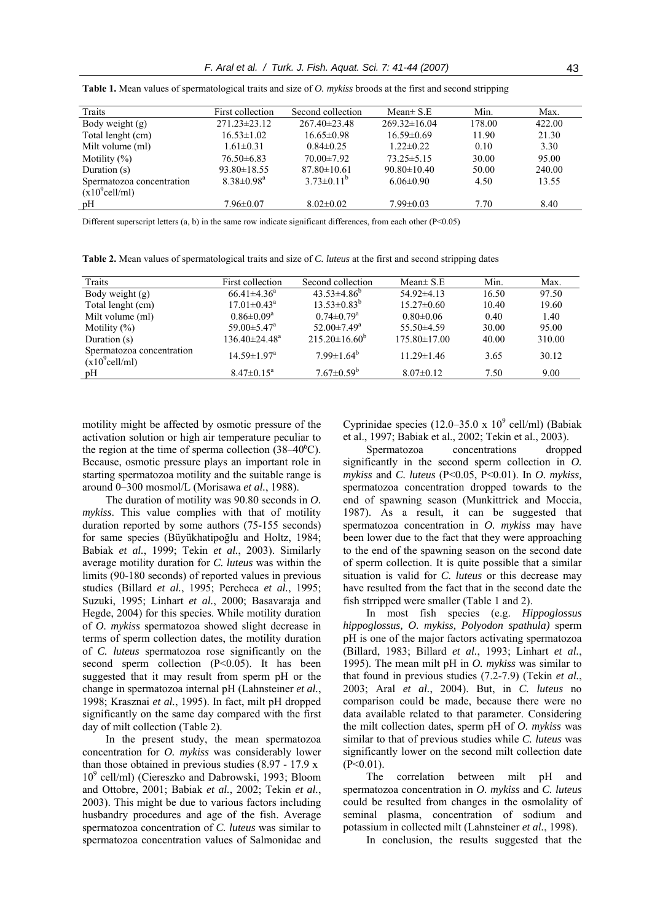| Traits                    | First collection             | Second collection  | Mean $\pm$ S.E     | Min.   | Max.   |
|---------------------------|------------------------------|--------------------|--------------------|--------|--------|
| Body weight $(g)$         | $271.23 \pm 23.12$           | $267.40 \pm 23.48$ | $269.32 \pm 16.04$ | 178.00 | 422.00 |
| Total lenght (cm)         | $16.53 \pm 1.02$             | $16.65\pm0.98$     | $16.59 \pm 0.69$   | 11.90  | 21.30  |
| Milt volume (ml)          | $1.61 \pm 0.31$              | $0.84\pm0.25$      | $1.22 \pm 0.22$    | 0.10   | 3.30   |
| Motility $(\%)$           | $76.50\pm 6.83$              | $70.00 \pm 7.92$   | $73.25 \pm 5.15$   | 30.00  | 95.00  |
| Duration (s)              | $93.80 \pm 18.55$            | $87.80 \pm 10.61$  | $90.80 \pm 10.40$  | 50.00  | 240.00 |
| Spermatozoa concentration | $8.38 \pm 0.98$ <sup>a</sup> | $3.73\pm0.11^{b}$  | $6.06 \pm 0.90$    | 4.50   | 13.55  |
| $(x10^9$ cell/ml)         |                              |                    |                    |        |        |
| pH                        | $7.96 \pm 0.07$              | $8.02 \pm 0.02$    | $7.99 \pm 0.03$    | 7.70   | 8.40   |
|                           |                              |                    |                    |        |        |

**Table 1.** Mean values of spermatological traits and size of *O. mykiss* broods at the first and second stripping

Different superscript letters  $(a, b)$  in the same row indicate significant differences, from each other  $(P < 0.05)$ 

**Table 2.** Mean values of spermatological traits and size of *C. luteus* at the first and second stripping dates

| Traits                                         | First collection                | Second collection             | Mean $\pm$ S.E     | Min.  | Max.   |
|------------------------------------------------|---------------------------------|-------------------------------|--------------------|-------|--------|
| Body weight (g)                                | $66.41\pm4.36^a$                | $43.53\pm4.86^b$              | $54.92\pm4.13$     | 16.50 | 97.50  |
| Total lenght (cm)                              | $17.01 \pm 0.43$ <sup>a</sup>   | $13.53\pm0.83^b$              | $15.27 \pm 0.60$   | 10.40 | 19.60  |
| Milt volume (ml)                               | $0.86 \pm 0.09^a$               | $0.74 \pm 0.79$ <sup>a</sup>  | $0.80 \pm 0.06$    | 0.40  | 1.40   |
| Motility $(\%)$                                | $59.00 \pm 5.47$ <sup>a</sup>   | $52.00 \pm 7.49$ <sup>a</sup> | $55.50\pm4.59$     | 30.00 | 95.00  |
| Duration (s)                                   | $136.40 \pm 24.48$ <sup>a</sup> | $215.20\pm16.60^b$            | $175.80 \pm 17.00$ | 40.00 | 310.00 |
| Spermatozoa concentration<br>$(x10^9$ cell/ml) | $14.59 \pm 1.97$ <sup>a</sup>   | $7.99 \pm 1.64^b$             | $11.29 \pm 1.46$   | 3.65  | 30.12  |
| pH                                             | $8.47 \pm 0.15^a$               | $7.67 \pm 0.59^b$             | $8.07\pm0.12$      | 7.50  | 9.00   |

motility might be affected by osmotic pressure of the activation solution or high air temperature peculiar to the region at the time of sperma collection  $(38-40^{\circ}C)$ . Because, osmotic pressure plays an important role in starting spermatozoa motility and the suitable range is around 0–300 mosmol/L (Morisawa *et al.*, 1988).

The duration of motility was 90.80 seconds in *O. mykiss*. This value complies with that of motility duration reported by some authors (75-155 seconds) for same species (Büyükhatipoğlu and Holtz, 1984; Babiak *et al.*, 1999; Tekin *et al.*, 2003). Similarly average motility duration for *C. luteus* was within the limits (90-180 seconds) of reported values in previous studies (Billard *et al.*, 1995; Percheca *et al.*, 1995; Suzuki, 1995; Linhart *et al.*, 2000; Basavaraja and Hegde, 2004) for this species. While motility duration of *O. mykiss* spermatozoa showed slight decrease in terms of sperm collection dates, the motility duration of *C. luteus* spermatozoa rose significantly on the second sperm collection (P<0.05). It has been suggested that it may result from sperm pH or the change in spermatozoa internal pH (Lahnsteiner *et al.*, 1998; Krasznai *et al.*, 1995). In fact, milt pH dropped significantly on the same day compared with the first day of milt collection (Table 2).

In the present study, the mean spermatozoa concentration for *O. mykiss* was considerably lower than those obtained in previous studies (8.97 - 17.9 x 10<sup>9</sup> cell/ml) (Ciereszko and Dabrowski, 1993; Bloom and Ottobre, 2001; Babiak *et al.*, 2002; Tekin *et al.*, 2003). This might be due to various factors including husbandry procedures and age of the fish. Average spermatozoa concentration of *C. luteus* was similar to spermatozoa concentration values of Salmonidae and

Cyprinidae species  $(12.0-35.0 \times 10^{9} \text{ cell/ml})$  (Babiak et al., 1997; Babiak et al., 2002; Tekin et al., 2003).

Spermatozoa concentrations dropped significantly in the second sperm collection in *O. mykiss* and *C. luteus* (P<0.05, P<0.01). In *O. mykiss,* spermatozoa concentration dropped towards to the end of spawning season (Munkittrick and Moccia, 1987). As a result, it can be suggested that spermatozoa concentration in *O. mykiss* may have been lower due to the fact that they were approaching to the end of the spawning season on the second date of sperm collection. It is quite possible that a similar situation is valid for *C. luteus* or this decrease may have resulted from the fact that in the second date the fish strripped were smaller (Table 1 and 2).

In most fish species (e.g. *Hippoglossus hippoglossus, O. mykiss, Polyodon spathula)* sperm pH is one of the major factors activating spermatozoa (Billard, 1983; Billard *et al.*, 1993; Linhart *et al.*, 1995). The mean milt pH in *O. mykiss* was similar to that found in previous studies (7.2-7.9) (Tekin *et al.*, 2003; Aral *et al.*, 2004). But, in *C. luteus* no comparison could be made, because there were no data available related to that parameter. Considering the milt collection dates, sperm pH of *O. mykiss* was similar to that of previous studies while *C. luteus* was significantly lower on the second milt collection date  $(P<0.01)$ .

The correlation between milt pH and spermatozoa concentration in *O. mykiss* and *C. luteus* could be resulted from changes in the osmolality of seminal plasma, concentration of sodium and potassium in collected milt (Lahnsteiner *et al.*, 1998).

In conclusion, the results suggested that the